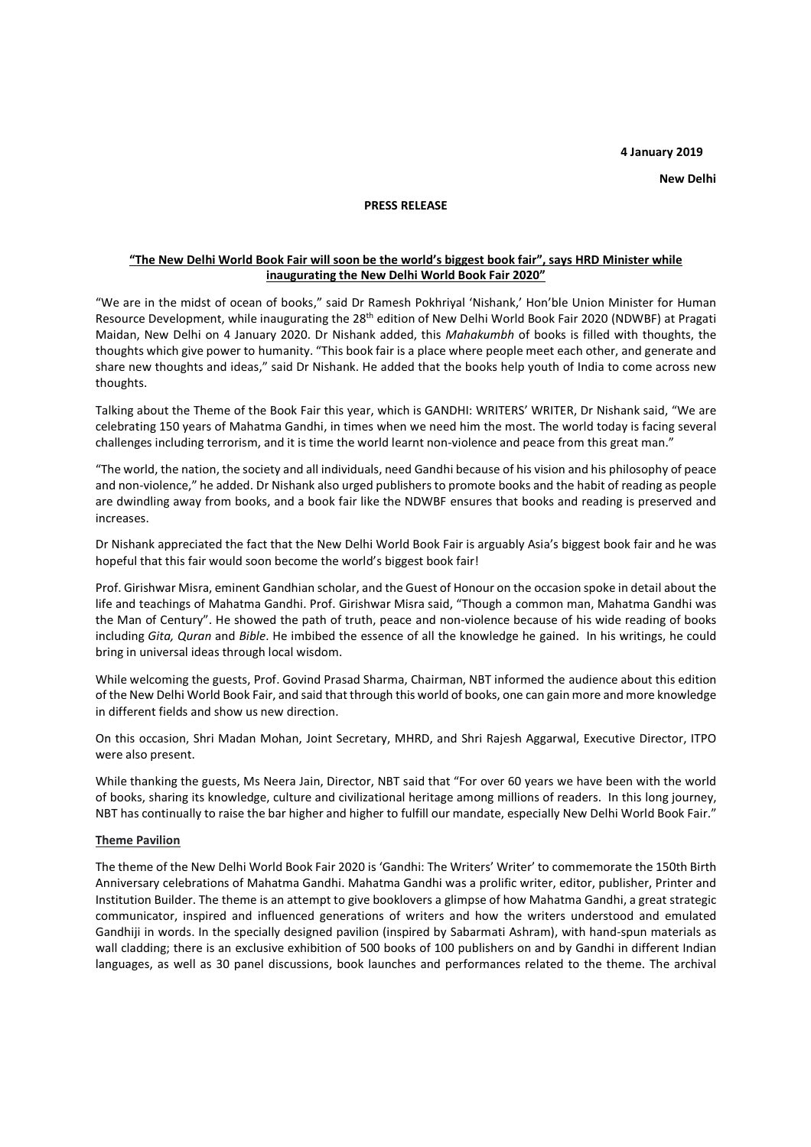## **4 January 2019**

**New Delhi** 

### **PRESS RELEASE**

# **"The New Delhi World Book Fair will soon be the world's biggest book fair", says HRD Minister while inaugurating the New Delhi World Book Fair 2020"**

"We are in the midst of ocean of books," said Dr Ramesh Pokhriyal 'Nishank,' Hon'ble Union Minister for Human Resource Development, while inaugurating the 28th edition of New Delhi World Book Fair 2020 (NDWBF) at Pragati Maidan, New Delhi on 4 January 2020. Dr Nishank added, this *Mahakumbh* of books is filled with thoughts, the thoughts which give power to humanity. "This book fair is a place where people meet each other, and generate and share new thoughts and ideas," said Dr Nishank. He added that the books help youth of India to come across new thoughts.

Talking about the Theme of the Book Fair this year, which is GANDHI: WRITERS' WRITER, Dr Nishank said, "We are celebrating 150 years of Mahatma Gandhi, in times when we need him the most. The world today is facing several challenges including terrorism, and it is time the world learnt non-violence and peace from this great man."

"The world, the nation, the society and all individuals, need Gandhi because of his vision and his philosophy of peace and non-violence," he added. Dr Nishank also urged publishers to promote books and the habit of reading as people are dwindling away from books, and a book fair like the NDWBF ensures that books and reading is preserved and increases.

Dr Nishank appreciated the fact that the New Delhi World Book Fair is arguably Asia's biggest book fair and he was hopeful that this fair would soon become the world's biggest book fair!

Prof. Girishwar Misra, eminent Gandhian scholar, and the Guest of Honour on the occasion spoke in detail about the life and teachings of Mahatma Gandhi. Prof. Girishwar Misra said, "Though a common man, Mahatma Gandhi was the Man of Century". He showed the path of truth, peace and non-violence because of his wide reading of books including *Gita, Quran* and *Bible*. He imbibed the essence of all the knowledge he gained. In his writings, he could bring in universal ideas through local wisdom.

While welcoming the guests, Prof. Govind Prasad Sharma, Chairman, NBT informed the audience about this edition of the New Delhi World Book Fair, and said that through this world of books, one can gain more and more knowledge in different fields and show us new direction.

On this occasion, Shri Madan Mohan, Joint Secretary, MHRD, and Shri Rajesh Aggarwal, Executive Director, ITPO were also present.

While thanking the guests, Ms Neera Jain, Director, NBT said that "For over 60 years we have been with the world of books, sharing its knowledge, culture and civilizational heritage among millions of readers. In this long journey, NBT has continually to raise the bar higher and higher to fulfill our mandate, especially New Delhi World Book Fair."

### **Theme Pavilion**

The theme of the New Delhi World Book Fair 2020 is 'Gandhi: The Writers' Writer' to commemorate the 150th Birth Anniversary celebrations of Mahatma Gandhi. Mahatma Gandhi was a prolific writer, editor, publisher, Printer and Institution Builder. The theme is an attempt to give booklovers a glimpse of how Mahatma Gandhi, a great strategic communicator, inspired and influenced generations of writers and how the writers understood and emulated Gandhiji in words. In the specially designed pavilion (inspired by Sabarmati Ashram), with hand-spun materials as wall cladding; there is an exclusive exhibition of 500 books of 100 publishers on and by Gandhi in different Indian languages, as well as 30 panel discussions, book launches and performances related to the theme. The archival